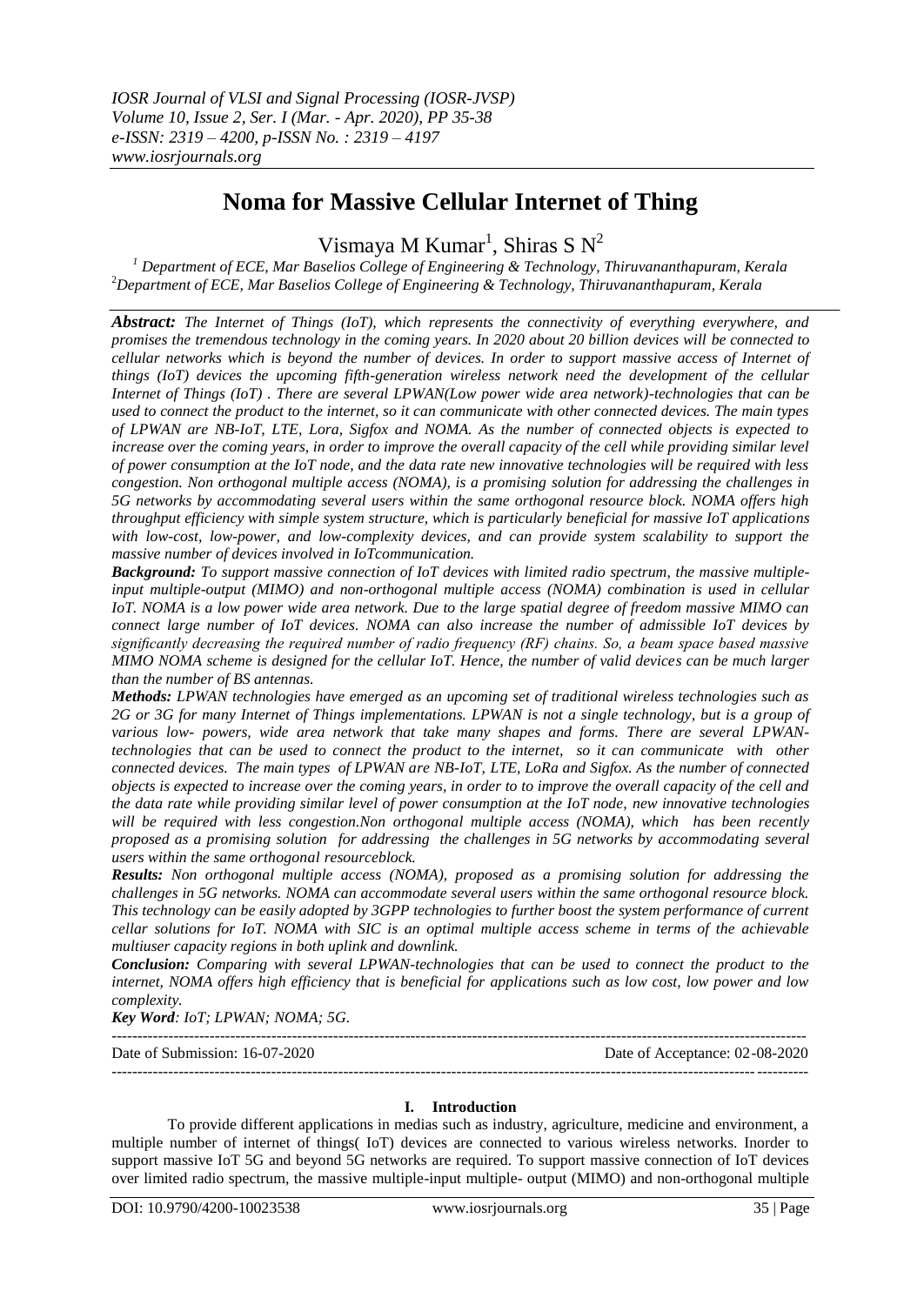# **Noma for Massive Cellular Internet of Thing**

Vismaya M Kumar<sup>1</sup>, Shiras S N<sup>2</sup>

*<sup>1</sup> Department of ECE, Mar Baselios College of Engineering & Technology, Thiruvananthapuram, Kerala* <sup>2</sup>*Department of ECE, Mar Baselios College of Engineering & Technology, Thiruvananthapuram, Kerala* 

*Abstract: The Internet of Things (IoT), which represents the connectivity of everything everywhere, and promises the tremendous technology in the coming years. In 2020 about 20 billion devices will be connected to cellular networks which is beyond the number of devices. In order to support massive access of Internet of things (IoT) devices the upcoming fifth-generation wireless network need the development of the cellular Internet of Things (IoT) . There are several LPWAN(Low power wide area network)-technologies that can be used to connect the product to the internet, so it can communicate with other connected devices. The main types of LPWAN are NB-IoT, LTE, Lora, Sigfox and NOMA. As the number of connected objects is expected to increase over the coming years, in order to improve the overall capacity of the cell while providing similar level of power consumption at the IoT node, and the data rate new innovative technologies will be required with less congestion. Non orthogonal multiple access (NOMA), is a promising solution for addressing the challenges in 5G networks by accommodating several users within the same orthogonal resource block. NOMA offers high throughput efficiency with simple system structure, which is particularly beneficial for massive IoT applications with low-cost, low-power, and low-complexity devices, and can provide system scalability to support the massive number of devices involved in IoTcommunication.*

*Background: To support massive connection of IoT devices with limited radio spectrum, the massive multipleinput multiple-output (MIMO) and non-orthogonal multiple access (NOMA) combination is used in cellular IoT. NOMA is a low power wide area network. Due to the large spatial degree of freedom massive MIMO can connect large number of IoT devices. NOMA can also increase the number of admissible IoT devices by significantly decreasing the required number of radio frequency (RF) chains. So, a beam space based massive MIMO NOMA scheme is designed for the cellular IoT. Hence, the number of valid devices can be much larger than the number of BS antennas.*

*Methods: LPWAN technologies have emerged as an upcoming set of traditional wireless technologies such as 2G or 3G for many Internet of Things implementations. LPWAN is not a single technology, but is a group of various low- powers, wide area network that take many shapes and forms. There are several LPWANtechnologies that can be used to connect the product to the internet, so it can communicate with other connected devices. The main types of LPWAN are NB-IoT, LTE, LoRa and Sigfox. As the number of connected objects is expected to increase over the coming years, in order to to improve the overall capacity of the cell and the data rate while providing similar level of power consumption at the IoT node, new innovative technologies will be required with less congestion.Non orthogonal multiple access (NOMA), which has been recently proposed as a promising solution for addressing the challenges in 5G networks by accommodating several users within the same orthogonal resourceblock.*

*Results: Non orthogonal multiple access (NOMA), proposed as a promising solution for addressing the challenges in 5G networks. NOMA can accommodate several users within the same orthogonal resource block. This technology can be easily adopted by 3GPP technologies to further boost the system performance of current cellar solutions for IoT. NOMA with SIC is an optimal multiple access scheme in terms of the achievable multiuser capacity regions in both uplink and downlink.*

*Conclusion: Comparing with several LPWAN-technologies that can be used to connect the product to the internet, NOMA offers high efficiency that is beneficial for applications such as low cost, low power and low complexity.*

*Key Word: IoT; LPWAN; NOMA; 5G.*

| Date of Submission: 16-07-2020 | Date of Acceptance: 02-08-2020 |
|--------------------------------|--------------------------------|
|                                |                                |

## **I. Introduction**

To provide different applications in medias such as industry, agriculture, medicine and environment, a multiple number of internet of things( IoT) devices are connected to various wireless networks. Inorder to support massive IoT 5G and beyond 5G networks are required. To support massive connection of IoT devices over limited radio spectrum, the massive multiple-input multiple- output (MIMO) and non-orthogonal multiple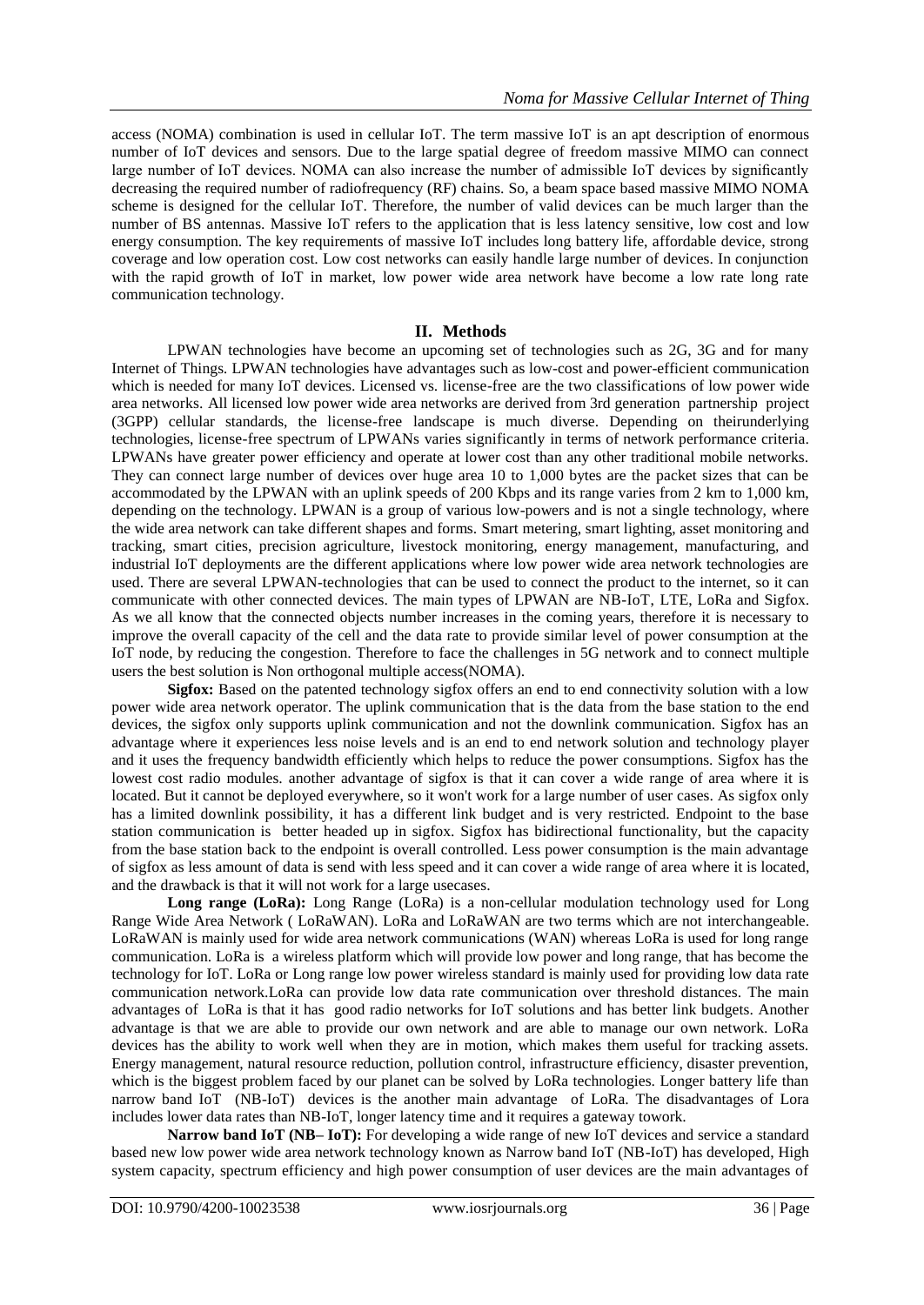access (NOMA) combination is used in cellular IoT. The term massive IoT is an apt description of enormous number of IoT devices and sensors. Due to the large spatial degree of freedom massive MIMO can connect large number of IoT devices. NOMA can also increase the number of admissible IoT devices by significantly decreasing the required number of radiofrequency (RF) chains. So, a beam space based massive MIMO NOMA scheme is designed for the cellular IoT. Therefore, the number of valid devices can be much larger than the number of BS antennas. Massive IoT refers to the application that is less latency sensitive, low cost and low energy consumption. The key requirements of massive IoT includes long battery life, affordable device, strong coverage and low operation cost. Low cost networks can easily handle large number of devices. In conjunction with the rapid growth of IoT in market, low power wide area network have become a low rate long rate communication technology.

# **II. Methods**

LPWAN technologies have become an upcoming set of technologies such as 2G, 3G and for many Internet of Things*.* LPWAN technologies have advantages such as low-cost and power-efficient communication which is needed for many IoT devices. Licensed vs. license-free are the two classifications of low power wide area networks. All licensed low power wide area networks are derived from 3rd generation partnership project (3GPP) cellular standards, the license-free landscape is much diverse. Depending on theirunderlying technologies, license-free spectrum of LPWANs varies significantly in terms of network performance criteria. LPWANs have greater power efficiency and operate at lower cost than any other traditional mobile networks. They can connect large number of devices over huge area 10 to 1,000 bytes are the packet sizes that can be accommodated by the LPWAN with an uplink speeds of 200 Kbps and its range varies from 2 km to 1,000 km, depending on the technology. LPWAN is a group of various low-powers and is not a single technology, where the wide area network can take different shapes and forms. [Smart metering,](https://internetofthingsagenda.techtarget.com/definition/smart-meter) smart lighting, asset monitoring and tracking, [smart cities,](https://internetofthingsagenda.techtarget.com/definition/smart-city) precision agriculture, livestock monitoring, energy management, manufacturing, and [industrial IoT d](https://internetofthingsagenda.techtarget.com/definition/Industrial-Internet-of-Things-IIoT)eployments are the different applications where low power wide area network technologies are used. There are several LPWAN-technologies that can be used to connect the product to the internet, so it can communicate with other connected devices. The main types of LPWAN are NB-IoT, LTE, LoRa and Sigfox. As we all know that the connected objects number increases in the coming years, therefore it is necessary to improve the overall capacity of the cell and the data rate to provide similar level of power consumption at the IoT node, by reducing the congestion. Therefore to face the challenges in 5G network and to connect multiple users the best solution is Non orthogonal multiple access(NOMA).

**Sigfox:** Based on the patented technology sigfox offers an end to end connectivity solution with a low power wide area network operator. The uplink communication that is the data from the base station to the end devices, the sigfox only supports uplink communication and not the downlink communication. Sigfox has an advantage where it experiences less noise levels and is an end to end network solution and technology player and it uses the frequency bandwidth efficiently which helps to reduce the power consumptions. Sigfox has the lowest cost radio modules. another advantage of sigfox is that it can cover a wide range of area where it is located. But it cannot be deployed everywhere, so it won't work for a large number of user cases. As sigfox only has a limited downlink possibility, it has a different link budget and is very restricted. Endpoint to the base station communication is better headed up in sigfox. Sigfox has bidirectional functionality, but the capacity from the base station back to the endpoint is overall controlled. Less power consumption is the main advantage of sigfox as less amount of data is send with less speed and it can cover a wide range of area where it is located, and the drawback is that it will not work for a large usecases.

Long range (LoRa): Long Range (LoRa) is a non-cellular modulation technology used for Long Range Wide Area Network ( LoRaWAN). LoRa and LoRaWAN are two terms which are not interchangeable. LoRaWAN is mainly used for wide area network communications (WAN) whereas LoRa is used for long range communication. LoRa is a wireless platform which will provide low power and long range, that has become the technology for IoT. LoRa or Long range low power wireless standard is mainly used for providing low data rate communication network.LoRa can provide low data rate communication over threshold distances. The main advantages of LoRa is that it has good radio networks for IoT solutions and has better link budgets. Another advantage is that we are able to provide our own network and are able to manage our own network. LoRa devices has the ability to work well when they are in motion, which makes them useful for tracking assets. Energy management, natural resource reduction, pollution control, infrastructure efficiency, disaster prevention, which is the biggest problem faced by our planet can be solved by LoRa technologies. Longer battery life than narrow band IoT (NB-IoT) devices is the another main advantage of LoRa. The disadvantages of Lora includes lower data rates than NB-IoT, longer latency time and it requires a gateway towork.

**Narrow band IoT (NB– IoT):** For developing a wide range of new IoT devices and service a standard based new low power wide area network technology known as Narrow band IoT (NB-IoT) has developed, High system capacity, spectrum efficiency and high power consumption of user devices are the main advantages of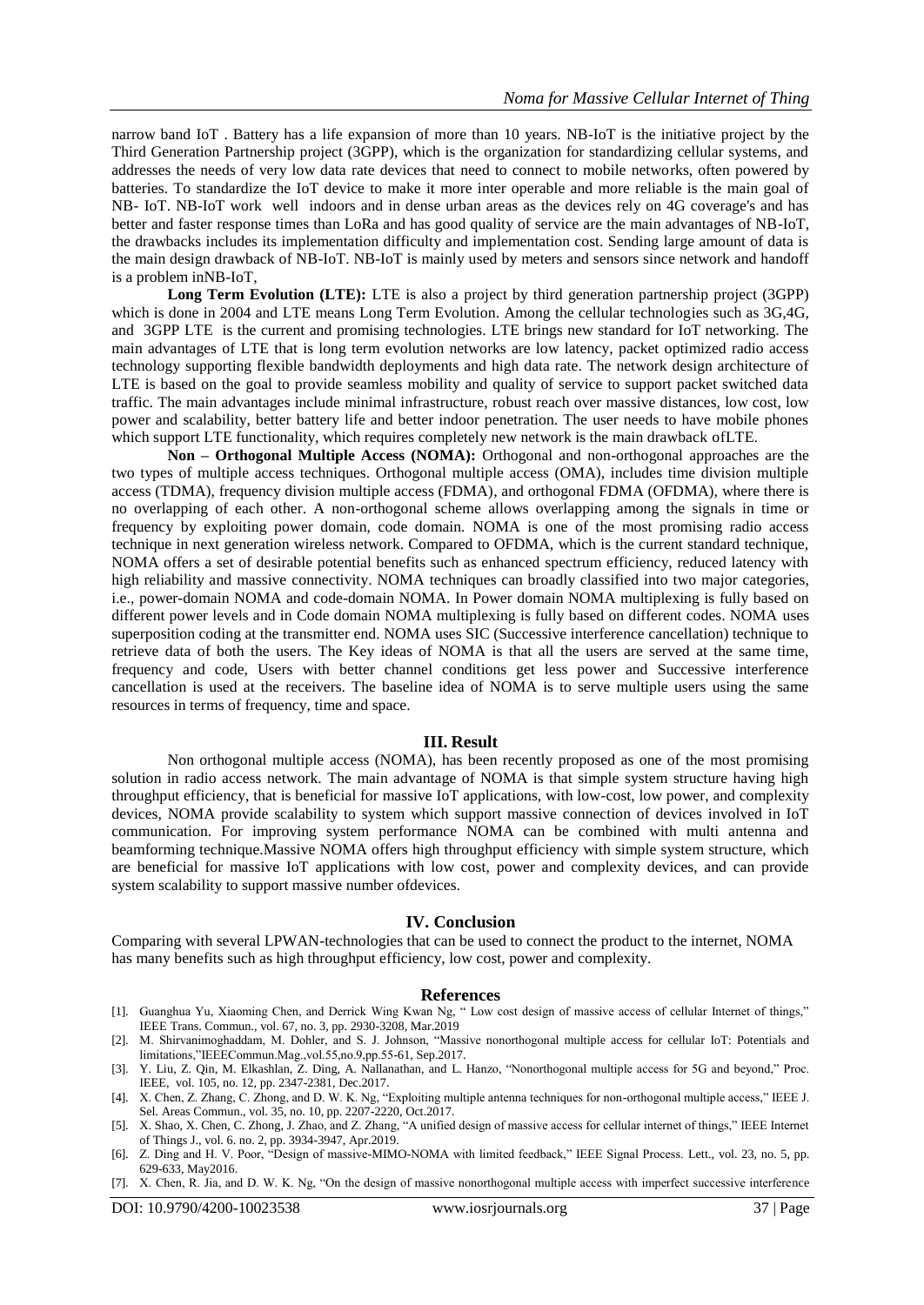narrow band IoT . Battery has a life expansion of more than 10 years. NB-IoT is the initiative project by the Third Generation Partnership project (3GPP), which is the organization for standardizing cellular systems, and addresses the needs of very low data rate devices that need to connect to mobile networks, often powered by batteries. To standardize the IoT device to make it more inter operable and more reliable is the main goal of NB- IoT. NB-IoT work well indoors and in dense urban areas as the devices rely on 4G coverage's and has better and faster response times than LoRa and has good quality of service are the main advantages of NB-IoT, the drawbacks includes its implementation difficulty and implementation cost. Sending large amount of data is the main design drawback of NB-IoT. NB-IoT is mainly used by meters and sensors since network and handoff is a problem inNB-IoT,

**Long Term Evolution (LTE):** LTE is also a project by third generation partnership project (3GPP) which is done in 2004 and LTE means Long Term Evolution. Among the cellular technologies such as 3G,4G, and 3GPP LTE is the current and promising technologies. LTE brings new standard for IoT networking. The main advantages of LTE that is long term evolution networks are low latency, packet optimized radio access technology supporting flexible bandwidth deployments and high data rate. The network design architecture of LTE is based on the goal to provide seamless mobility and quality of service to support packet switched data traffic. The main advantages include minimal infrastructure, robust reach over massive distances, low cost, low power and scalability, better battery life and better indoor penetration. The user needs to have mobile phones which support LTE functionality, which requires completely new network is the main drawback ofLTE.

**Non – Orthogonal Multiple Access (NOMA):** Orthogonal and non-orthogonal approaches are the two types of multiple access techniques. Orthogonal multiple access (OMA), includes time division multiple access (TDMA), frequency division multiple access (FDMA), and orthogonal FDMA (OFDMA), where there is no overlapping of each other. A non-orthogonal scheme allows overlapping among the signals in time or frequency by exploiting power domain, code domain. NOMA is one of the most promising radio access technique in next generation wireless network. Compared to OFDMA, which is the current standard technique, NOMA offers a set of desirable potential benefits such as enhanced spectrum efficiency, reduced latency with high reliability and massive connectivity. NOMA techniques can broadly classified into two major categories, i.e., power-domain NOMA and code-domain NOMA. In Power domain NOMA multiplexing is fully based on different power levels and in Code domain NOMA multiplexing is fully based on different codes. NOMA uses superposition coding at the transmitter end. NOMA uses SIC (Successive interference cancellation) technique to retrieve data of both the users. The Key ideas of NOMA is that all the users are served at the same time, frequency and code, Users with better channel conditions get less power and Successive interference cancellation is used at the receivers. The baseline idea of NOMA is to serve multiple users using the same resources in terms of frequency, time and space.

#### **III. Result**

Non orthogonal multiple access (NOMA), has been recently proposed as one of the most promising solution in radio access network. The main advantage of NOMA is that simple system structure having high throughput efficiency, that is beneficial for massive IoT applications, with low-cost, low power, and complexity devices, NOMA provide scalability to system which support massive connection of devices involved in IoT communication. For improving system performance NOMA can be combined with multi antenna and beamforming technique.Massive NOMA offers high throughput efficiency with simple system structure, which are beneficial for massive IoT applications with low cost, power and complexity devices, and can provide system scalability to support massive number ofdevices.

### **IV. Conclusion**

Comparing with several LPWAN-technologies that can be used to connect the product to the internet, NOMA has many benefits such as high throughput efficiency, low cost, power and complexity.

#### **References**

- [1]. Guanghua Yu, Xiaoming Chen, and Derrick Wing Kwan Ng, " Low cost design of massive access of cellular Internet of things," IEEE Trans. Commun., vol. 67, no. 3, pp. 2930-3208, Mar.2019
- [2]. M. Shirvanimoghaddam, M. Dohler, and S. J. Johnson, "Massive nonorthogonal multiple access for cellular IoT: Potentials and limitations,"IEEECommun.Mag.,vol.55,no.9,pp.55-61, Sep.2017.
- [3]. Y. Liu, Z. Qin, M. Elkashlan, Z. Ding, A. Nallanathan, and L. Hanzo, "Nonorthogonal multiple access for 5G and beyond," Proc. IEEE, vol. 105, no. 12, pp. 2347-2381, Dec.2017.
- [4]. X. Chen, Z. Zhang, C. Zhong, and D. W. K. Ng, "Exploiting multiple antenna techniques for non-orthogonal multiple access," IEEE J. Sel. Areas Commun., vol. 35, no. 10, pp. 2207-2220, Oct.2017.
- [5]. X. Shao, X. Chen, C. Zhong, J. Zhao, and Z. Zhang, "A unified design of massive access for cellular internet of things," IEEE Internet of Things J., vol. 6. no. 2, pp. 3934-3947, Apr.2019.
- [6]. Z. Ding and H. V. Poor, "Design of massive-MIMO-NOMA with limited feedback," IEEE Signal Process. Lett., vol. 23, no. 5, pp. 629-633, May2016.
- [7]. X. Chen, R. Jia, and D. W. K. Ng, "On the design of massive nonorthogonal multiple access with imperfect successive interference